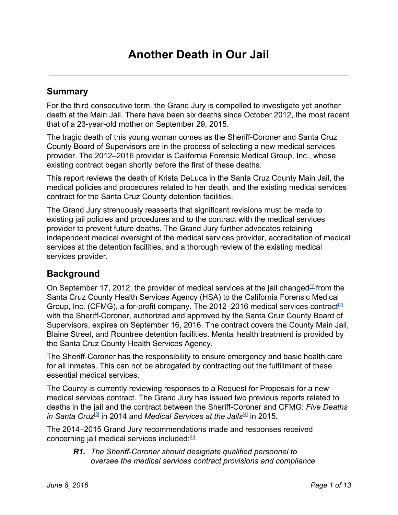## **Summary**

For the third consecutive term, the Grand Jury is compelled to investigate yet another death at the Main Jail. There have been six deaths since October 2012, the most recent that of a 23-year-old mother on September 29, 2015.

The tragic death of this young woman comes as the Sheriff-Coroner and Santa Cruz County Board of Supervisors are in the process of selecting a new medical services provider. The 2012–2016 provider is California Forensic Medical Group, Inc., whose existing contract began shortly before the first of these deaths.

This report reviews the death of Krista DeLuca in the Santa Cruz County Main Jail, the medical policies and procedures related to her death, and the existing medical services contract for the Santa Cruz County detention facilities.

The Grand Jury strenuously reasserts that significant revisions must be made to existing jail policies and procedures and to the contract with the medical services provider to prevent future deaths. The Grand Jury further advocates retaining independent medical oversight of the medical services provider, accreditation of medical services at the detention facilities, and a thorough review of the existing medical services provider.

# **Background**

On September 17, 2012, the provider of medical services at the jail changed $1/1$  from the Santa Cruz County Health Services Agency (HSA) to the California Forensic Medical Group, Inc. (CFMG), a for-profit company. The 2012–2016 medical services contract<sup>[\[2\]](http://sccounty01.co.santa-cruz.ca.us/BDS/Govstream2/Bdsvdata/non_legacy_2.0/agendas/2012/20120814-570/PDF/017.pdf)</sup> with the Sheriff-Coroner, authorized and approved by the Santa Cruz County Board of Supervisors, expires on September 16, 2016. The contract covers the County Main Jail, Blaine Street, and Rountree detention facilities. Mental health treatment is provided by the Santa Cruz County Health Services Agency.

The Sheriff-Coroner has the responsibility to ensure emergency and basic health care for all inmates. This can not be abrogated by contracting out the fulfillment of these essential medical services.

The County is currently reviewing responses to a Request for Proposals for a new medical services contract. The Grand Jury has issued two previous reports related to deaths in the jail and the contract between the Sheriff-Coroner and CFMG: *Five Deaths in Santa Cruz* [\[3\]](http://www.co.santa-cruz.ca.us/Departments/GrandJury/GrandJuryFinalReportandResponses2013-2014.aspx) in 2014 and *Medical Services at the Jails* [\[4\]](http://www.co.santa-cruz.ca.us/Portals/0/County/GrandJury/GJ2015_final/MedicalServicesattheJails.pdf) in 2015*.*

The 2014–2015 Grand Jury recommendations made and responses received concerning jail medical services included.<sup>[\[5\]](http://www.co.santa-cruz.ca.us/Departments/GrandJury/GrandJuryFinalReportandResponses2014-2015.aspx)</sup>

*R1.* The Sheriff-Coroner should designate qualified personnel to *oversee the medical services contract provisions and compliance*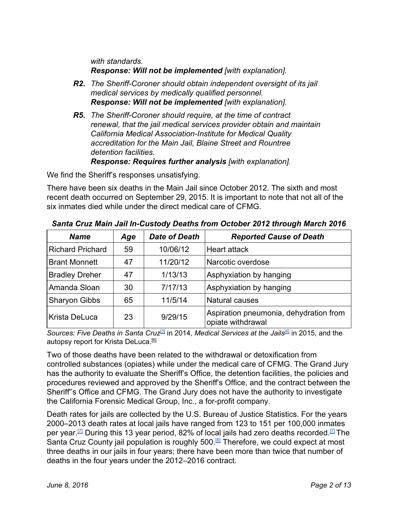*with standards. Response:Will not be implemented [with explanation].*

- *R2. The SheriffCoroner should obtain independent oversight of its jail medical services by medically qualified personnel. Response: Will not be implemented [with explanation].*
- **R5.** The Sheriff-Coroner should require, at the time of contract *renewal, that the jail medical services provider obtain and maintain California Medical Association-Institute for Medical Quality accreditation for the Main Jail, Blaine Street and Rountree detention facilities. Response: Requires further analysis [with explanation].*

We find the Sheriff's responses unsatisfying.

There have been six deaths in the Main Jail since October 2012. The sixth and most recent death occurred on September 29, 2015. It is important to note that not all of the six inmates died while under the direct medical care of CFMG.

| <b>Name</b>             | Age | <b>Date of Death</b> | <b>Reported Cause of Death</b>                              |
|-------------------------|-----|----------------------|-------------------------------------------------------------|
| <b>Richard Prichard</b> | 59  | 10/06/12             | <b>Heart attack</b>                                         |
| <b>Brant Monnett</b>    | 47  | 11/20/12             | Narcotic overdose                                           |
| <b>Bradley Dreher</b>   | 47  | 1/13/13              | Asphyxiation by hanging                                     |
| Amanda Sloan            | 30  | 7/17/13              | Asphyxiation by hanging                                     |
| <b>Sharyon Gibbs</b>    | 65  | 11/5/14              | Natural causes                                              |
| Krista DeLuca           | 23  | 9/29/15              | Aspiration pneumonia, dehydration from<br>opiate withdrawal |

*Santa Cruz Main Jail InCustody Deaths from October 2012 through March 2016*

*Sources: Five Deaths in Santa Cruz* [\[3\]](http://www.co.santa-cruz.ca.us/Departments/GrandJury/GrandJuryFinalReportandResponses2013-2014.aspx) in 2014*, Medical Services at the Jails* [\[4\]](http://www.co.santa-cruz.ca.us/Portals/0/County/GrandJury/GJ2015_final/MedicalServicesattheJails.pdf) in 2015, and the autopsy report for Krista DeLuca.<sup>61</sup>

Two of those deaths have been related to the withdrawal or detoxification from controlled substances (opiates) while under the medical care of CFMG. The Grand Jury has the authority to evaluate the Sheriff's Office, the detention facilities, the policies and procedures reviewed and approved by the Sheriff's Office, and the contract between the Sheriff''s Office and CFMG. The Grand Jury does not have the authority to investigate the California Forensic Medical Group, Inc., a for-profit company.

Death rates for jails are collected by the U.S. Bureau of Justice Statistics. For the years 2000–2013 death rates at local jails have ranged from 123 to 151 per 100,000 inmates per year.<sup>[\[7\]](http://www.bjs.gov/content/pub/pdf/mljsp0013st.pdf#page=13)</sup> During this 13 year period, 82% of local jails had zero deaths recorded.<sup>[7]</sup> The Santa Cruz County jail population is roughly 500.<sup>[\[8\]](http://www.scsheriff.com/Home/Corrections/JailPopulationReport.aspx)</sup> Therefore, we could expect at most three deaths in our jails in four years; there have been more than twice that number of deaths in the four years under the 2012–2016 contract.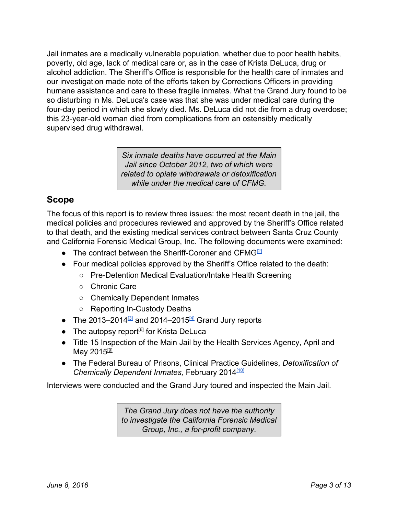Jail inmates are a medically vulnerable population, whether due to poor health habits, poverty, old age, lack of medical care or, as in the case of Krista DeLuca, drug or alcohol addiction. The Sheriff's Office is responsible for the health care of inmates and our investigation made note of the efforts taken by Corrections Officers in providing humane assistance and care to these fragile inmates. What the Grand Jury found to be so disturbing in Ms. DeLuca's case was that she was under medical care during the four-day period in which she slowly died. Ms. DeLuca did not die from a drug overdose; this 23-year-old woman died from complications from an ostensibly medically supervised drug withdrawal.

> *Six inmate deaths have occurred at the Main Jail since October 2012, two of which were related to opiate withdrawals or detoxification while under the medical care of CFMG.*

# **Scope**

The focus of this report is to review three issues: the most recent death in the jail, the medical policies and procedures reviewed and approved by the Sheriff's Office related to that death, and the existing medical services contract between Santa Cruz County and California Forensic Medical Group, Inc. The following documents were examined:

- The contract between the Sheriff-Coroner and CFMG $[2]$
- Four medical policies approved by the Sheriff's Office related to the death:
	- Pre-Detention Medical Evaluation/Intake Health Screening
	- Chronic Care
	- Chemically Dependent Inmates
	- Reporting In-Custody Deaths
- The 2013–2014 $^{31}$  and 2014–2015 $^{41}$  Grand Jury reports
- The autopsy report<sup>[6]</sup> for Krista DeLuca
- Title 15 Inspection of the Main Jail by the Health Services Agency, April and May 2015<u><sup>(9)</sup></u>
- The Federal Bureau of Prisons, Clinical Practice Guidelines, *Detoxification of Chemically Dependent Inmates,* February 2014 [\[10\]](https://www.bop.gov/resources/pdfs/detoxification.pdf)

Interviews were conducted and the Grand Jury toured and inspected the Main Jail.

*The Grand Jury does not have the authority to investigate the California Forensic Medical Group, Inc., a for-profit company.*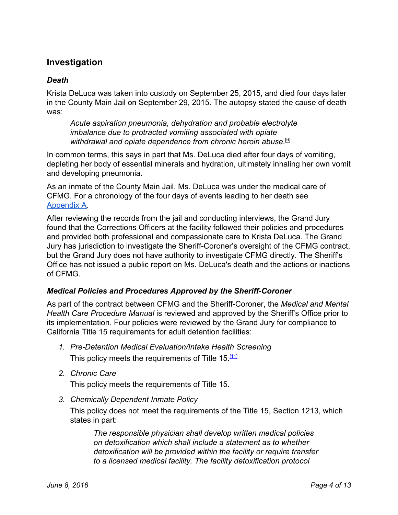# **Investigation**

### *Death*

Krista DeLuca was taken into custody on September 25, 2015, and died four days later in the County Main Jail on September 29, 2015. The autopsy stated the cause of death was:

*Acute aspiration pneumonia, dehydration and probable electrolyte imbalance due to protracted vomiting associated with opiate withdrawal and opiate dependence from chronic heroin abuse.* [6]

In common terms, this says in part that Ms. DeLuca died after four days of vomiting, depleting her body of essential minerals and hydration, ultimately inhaling her own vomit and developing pneumonia.

As an inmate of the County Main Jail, Ms. DeLuca was under the medical care of CFMG. For a chronology of the four days of events leading to her death see [Appendix](#page-12-0) A.

After reviewing the records from the jail and conducting interviews, the Grand Jury found that the Corrections Officers at the facility followed their policies and procedures and provided both professional and compassionate care to Krista DeLuca. The Grand Jury has jurisdiction to investigate the Sheriff-Coroner's oversight of the CFMG contract, but the Grand Jury does not have authority to investigate CFMG directly. The Sheriff's Office has not issued a public report on Ms. DeLuca's death and the actions or inactions of CFMG.

#### *Medical Policies and Procedures Approved by the Sheriff-Coroner*

As part of the contract between CFMG and the Sheriff-Coroner, the *Medical and Mental Health Care Procedure Manual* is reviewed and approved by the Sheriff's Office prior to its implementation. Four policies were reviewed by the Grand Jury for compliance to California Title 15 requirements for adult detention facilities:

- *1. PreDetention Medical Evaluation/Intake Health Screening* This policy meets the requirements of Title 15.<sup>[11]</sup>
- *2. Chronic Care*

This policy meets the requirements of Title 15.

*3. Chemically Dependent Inmate Policy*

This policy does not meet the requirements of the Title 15, Section 1213, which states in part:

*The responsible physician shall develop written medical policies on detoxification which shall include a statement as to whether detoxification will be provided within the facility or require transfer to a licensed medical facility. The facility detoxification protocol*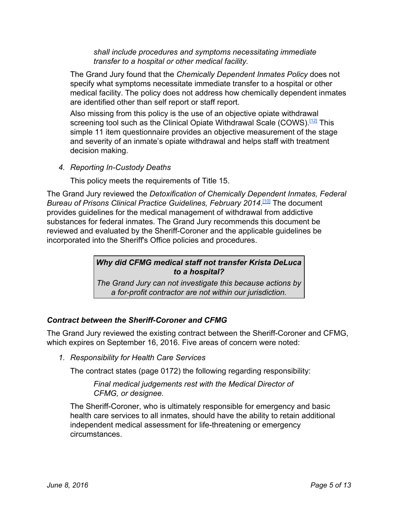*shall include procedures and symptoms necessitating immediate transfer to a hospital or other medical facility.*

The Grand Jury found that the *Chemically Dependent Inmates Policy* does not specify what symptoms necessitate immediate transfer to a hospital or other medical facility. The policy does not address how chemically dependent inmates are identified other than self report or staff report.

Also missing from this policy is the use of an objective opiate withdrawal screening tool such as the Clinical Opiate Withdrawal Scale (COWS).<sup>[\[12\]](https://www.drugabuse.gov/sites/default/files/files/ClinicalOpiateWithdrawalScale.pdf)</sup> This simple 11 item questionnaire provides an objective measurement of the stage and severity of an inmate's opiate withdrawal and helps staff with treatment decision making.

*4. Reporting InCustody Deaths*

This policy meets the requirements of Title 15.

The Grand Jury reviewed the *Detoxification of Chemically Dependent Inmates, Federal Bureau of Prisons Clinical Practice Guidelines, February 2014*. [\[10\]](https://www.bop.gov/resources/pdfs/detoxification.pdf) The document provides guidelines for the medical management of withdrawal from addictive substances for federal inmates. The Grand Jury recommends this document be reviewed and evaluated by the Sheriff-Coroner and the applicable guidelines be incorporated into the Sheriff's Office policies and procedures.

### *Why did CFMG medical staff not transfer Krista DeLuca to a hospital?*

*The Grand Jury can not investigate this because actions by a forprofit contractor are not within our jurisdiction.*

### *Contract between the Sheriff-Coroner and CFMG*

The Grand Jury reviewed the existing contract between the Sheriff-Coroner and CFMG, which expires on September 16, 2016. Five areas of concern were noted:

*1. Responsibility for Health Care Services*

The contract states (page 0172) the following regarding responsibility:

#### *Final medical judgements rest with the Medical Director of CFMG, or designee.*

The Sheriff-Coroner, who is ultimately responsible for emergency and basic health care services to all inmates, should have the ability to retain additional independent medical assessment for life-threatening or emergency circumstances.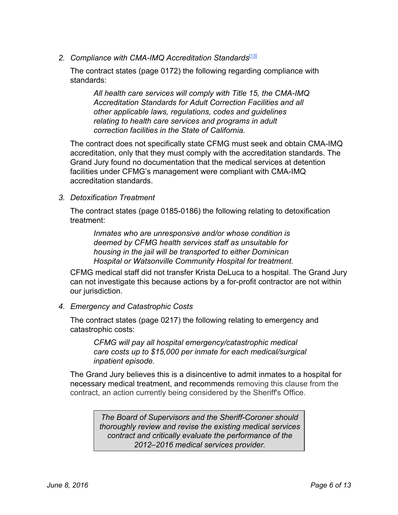2. Compliance with CMA-IMQ Accreditation Standards<sup>[\[13\]](http://www.imq.org/)</sup>

The contract states (page 0172) the following regarding compliance with standards:

*All health care services will comply with Title 15, the CMAIMQ Accreditation Standards for Adult Correction Facilities and all other applicable laws, regulations, codes and guidelines relating to health care services and programs in adult correction facilities in the State of California.*

The contract does not specifically state CFMG must seek and obtain CMA-IMQ accreditation, only that they must comply with the accreditation standards. The Grand Jury found no documentation that the medical services at detention facilities under CFMG's management were compliant with CMA-IMQ accreditation standards.

#### *3. Detoxification Treatment*

The contract states (page 0185-0186) the following relating to detoxification treatment:

*Inmates who are unresponsive and/or whose condition is deemed by CFMG health services staff as unsuitable for housing in the jail will be transported to either Dominican Hospital or Watsonville Community Hospital for treatment.*

CFMG medical staff did not transfer Krista DeLuca to a hospital. The Grand Jury can not investigate this because actions by a for-profit contractor are not within our jurisdiction.

#### *4. Emergency and Catastrophic Costs*

The contract states (page 0217) the following relating to emergency and catastrophic costs:

*CFMG will pay all hospital emergency/catastrophic medical care costs up to \$15,000 per inmate for each medical/surgical inpatient episode.*

The Grand Jury believes this is a disincentive to admit inmates to a hospital for necessary medical treatment, and recommends removing this clause from the contract, an action currently being considered by the Sheriff's Office.

> *The Board of Supervisors and the Sheriff-Coroner should thoroughly review and revise the existing medical services contract and critically evaluate the performance of the 2012–2016 medical services provider.*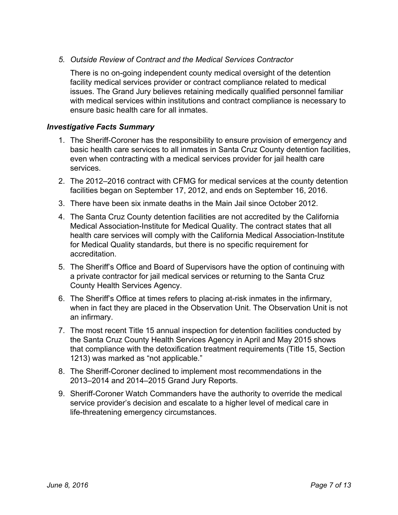### *5. Outside Review of Contract and the Medical Services Contractor*

There is no on-going independent county medical oversight of the detention facility medical services provider or contract compliance related to medical issues. The Grand Jury believes retaining medically qualified personnel familiar with medical services within institutions and contract compliance is necessary to ensure basic health care for all inmates.

#### *Investigative Facts Summary*

- 1. The Sheriff-Coroner has the responsibility to ensure provision of emergency and basic health care services to all inmates in Santa Cruz County detention facilities, even when contracting with a medical services provider for jail health care services.
- 2. The 2012–2016 contract with CFMG for medical services at the county detention facilities began on September 17, 2012, and ends on September 16, 2016.
- 3. There have been six inmate deaths in the Main Jail since October 2012.
- 4. The Santa Cruz County detention facilities are not accredited by the California Medical Association-Institute for Medical Quality. The contract states that all health care services will comply with the California Medical Association-Institute for Medical Quality standards, but there is no specific requirement for accreditation.
- 5. The Sheriff's Office and Board of Supervisors have the option of continuing with a private contractor for jail medical services or returning to the Santa Cruz County Health Services Agency.
- 6. The Sheriff's Office at times refers to placing at-risk inmates in the infirmary, when in fact they are placed in the Observation Unit. The Observation Unit is not an infirmary.
- 7. The most recent Title 15 annual inspection for detention facilities conducted by the Santa Cruz County Health Services Agency in April and May 2015 shows that compliance with the detoxification treatment requirements (Title 15, Section 1213) was marked as "not applicable."
- 8. The Sheriff-Coroner declined to implement most recommendations in the 2013–2014 and 2014–2015 Grand Jury Reports.
- 9. Sheriff-Coroner Watch Commanders have the authority to override the medical service provider's decision and escalate to a higher level of medical care in life-threatening emergency circumstances.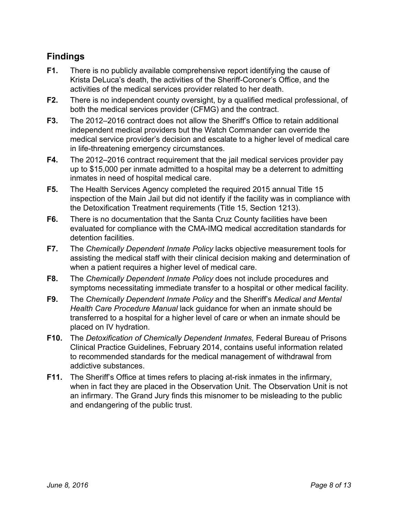# **Findings**

- **F1.** There is no publicly available comprehensive report identifying the cause of Krista DeLuca's death, the activities of the Sheriff-Coroner's Office, and the activities of the medical services provider related to her death.
- **F2.** There is no independent county oversight, by a qualified medical professional, of both the medical services provider (CFMG) and the contract.
- **F3.** The 2012–2016 contract does not allow the Sheriff's Office to retain additional independent medical providers but the Watch Commander can override the medical service provider's decision and escalate to a higher level of medical care in life-threatening emergency circumstances.
- **F4.** The 2012–2016 contract requirement that the jail medical services provider pay up to \$15,000 per inmate admitted to a hospital may be a deterrent to admitting inmates in need of hospital medical care.
- **F5.** The Health Services Agency completed the required 2015 annual Title 15 inspection of the Main Jail but did not identify if the facility was in compliance with the Detoxification Treatment requirements (Title 15, Section 1213).
- **F6.** There is no documentation that the Santa Cruz County facilities have been evaluated for compliance with the CMA-IMQ medical accreditation standards for detention facilities.
- **F7.** The *Chemically Dependent Inmate Policy* lacks objective measurement tools for assisting the medical staff with their clinical decision making and determination of when a patient requires a higher level of medical care.
- **F8.** The *Chemically Dependent Inmate Policy* does not include procedures and symptoms necessitating immediate transfer to a hospital or other medical facility.
- **F9.** The *Chemically Dependent Inmate Policy* and the Sheriff's *Medical and Mental Health Care Procedure Manual* lack guidance for when an inmate should be transferred to a hospital for a higher level of care or when an inmate should be placed on IV hydration.
- **F10.** The *Detoxification of Chemically Dependent Inmates,* Federal Bureau of Prisons Clinical Practice Guidelines, February 2014, contains useful information related to recommended standards for the medical management of withdrawal from addictive substances.
- **F11.** The Sheriff's Office at times refers to placing at-risk inmates in the infirmary, when in fact they are placed in the Observation Unit. The Observation Unit is not an infirmary. The Grand Jury finds this misnomer to be misleading to the public and endangering of the public trust.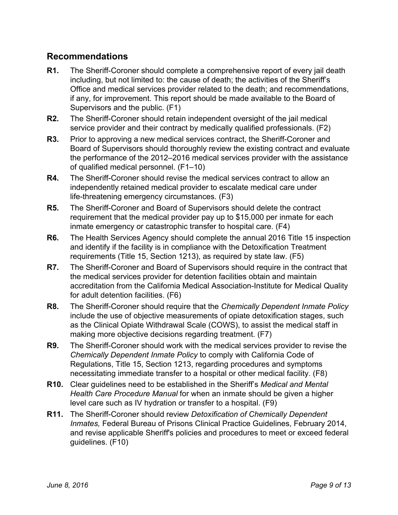# **Recommendations**

- **R1.** The Sheriff-Coroner should complete a comprehensive report of every jail death including, but not limited to: the cause of death; the activities of the Sheriff's Office and medical services provider related to the death; and recommendations, if any, for improvement. This report should be made available to the Board of Supervisors and the public. (F1)
- **R2.** The Sheriff-Coroner should retain independent oversight of the jail medical service provider and their contract by medically qualified professionals. (F2)
- **R3.** Prior to approving a new medical services contract, the Sheriff-Coroner and Board of Supervisors should thoroughly review the existing contract and evaluate the performance of the 2012–2016 medical services provider with the assistance of qualified medical personnel. (F1–10)
- **R4.** The Sheriff-Coroner should revise the medical services contract to allow an independently retained medical provider to escalate medical care under life-threatening emergency circumstances. (F3)
- **R5.** The Sheriff-Coroner and Board of Supervisors should delete the contract requirement that the medical provider pay up to \$15,000 per inmate for each inmate emergency or catastrophic transfer to hospital care. (F4)
- **R6.** The Health Services Agency should complete the annual 2016 Title 15 inspection and identify if the facility is in compliance with the Detoxification Treatment requirements (Title 15, Section 1213), as required by state law. (F5)
- **R7.** The Sheriff-Coroner and Board of Supervisors should require in the contract that the medical services provider for detention facilities obtain and maintain accreditation from the California Medical Association-Institute for Medical Quality for adult detention facilities. (F6)
- **R8.** The Sheriff-Coroner should require that the *Chemically Dependent Inmate Policy* include the use of objective measurements of opiate detoxification stages, such as the Clinical Opiate Withdrawal Scale (COWS), to assist the medical staff in making more objective decisions regarding treatment. (F7)
- **R9.** The Sheriff-Coroner should work with the medical services provider to revise the *Chemically Dependent Inmate Policy* to comply with California Code of Regulations, Title 15, Section 1213, regarding procedures and symptoms necessitating immediate transfer to a hospital or other medical facility. (F8)
- **R10.** Clear guidelines need to be established in the Sheriff's *Medical and Mental Health Care Procedure Manual* for when an inmate should be given a higher level care such as IV hydration or transfer to a hospital. (F9)
- **R11.** The Sheriff-Coroner should review *Detoxification of Chemically Dependent Inmates,* Federal Bureau of Prisons Clinical Practice Guidelines, February 2014, and revise applicable Sheriff's policies and procedures to meet or exceed federal guidelines. (F10)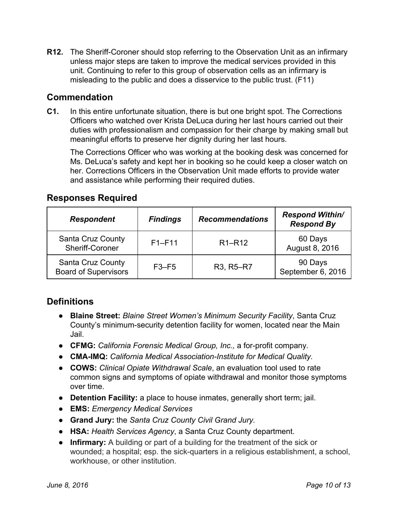**R12.** The Sheriff-Coroner should stop referring to the Observation Unit as an infirmary unless major steps are taken to improve the medical services provided in this unit. Continuing to refer to this group of observation cells as an infirmary is misleading to the public and does a disservice to the public trust. (F11)

### **Commendation**

**C1.** In this entire unfortunate situation, there is but one bright spot. The Corrections Officers who watched over Krista DeLuca during her last hours carried out their duties with professionalism and compassion for their charge by making small but meaningful efforts to preserve her dignity during her last hours.

The Corrections Officer who was working at the booking desk was concerned for Ms. DeLuca's safety and kept her in booking so he could keep a closer watch on her. Corrections Officers in the Observation Unit made efforts to provide water and assistance while performing their required duties.

### **Responses Required**

| <b>Respondent</b>                                | <b>Findings</b> | <b>Recommendations</b>          | <b>Respond Within/</b><br><b>Respond By</b> |
|--------------------------------------------------|-----------------|---------------------------------|---------------------------------------------|
| Santa Cruz County<br>Sheriff-Coroner             | $F1-F11$        | R <sub>1</sub> -R <sub>12</sub> | 60 Days<br>August 8, 2016                   |
| Santa Cruz County<br><b>Board of Supervisors</b> | $F3-F5$         | R3, R5-R7                       | 90 Days<br>September 6, 2016                |

# **Definitions**

- **Blaine Street:***Blaine Street Women's Minimum Security Facility*, Santa Cruz County's minimum-security detention facility for women, located near the Main Jail.
- **CFMG:** California Forensic Medical Group, Inc., a for-profit company.
- **CMA-IMQ:** California *Medical Association-Institute for Medical Quality.*
- **● COWS:** *Clinical Opiate Withdrawal Scale*, an evaluation tool used to rate common signs and symptoms of opiate withdrawal and monitor those symptoms over time.
- **Detention Facility:**a place to house inmates, generally short term; jail.
- **● EMS:** *Emergency Medical Services*
- **● Grand Jury:**the *Santa Cruz County Civil Grand Jury.*
- **HSA:***Health Services Agency*, a Santa Cruz County department.
- **● Infirmary:** A building or part of a building for the treatment of the sick or wounded; a hospital; esp. the sick-quarters in a religious establishment, a school, workhouse, or other institution.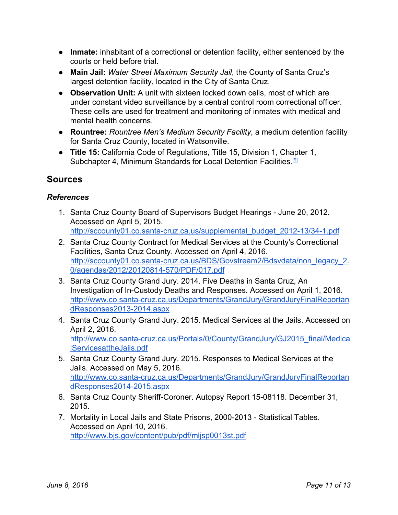- **Inmate:**inhabitant of a correctional or detention facility, either sentenced by the courts or held before trial.
- **Main Jail:***Water Street Maximum Security Jail*, the County of Santa Cruz's largest detention facility, located in the City of Santa Cruz.
- **● Observation Unit:** A unit with sixteen locked down cells, most of which are under constant video surveillance by a central control room correctional officer. These cells are used for treatment and monitoring of inmates with medical and mental health concerns.
- **Rountree:***Rountree Men's Medium Security Facility*, a medium detention facility for Santa Cruz County, located in Watsonville.
- **Title 15:**California Code of Regulations, Title 15, Division 1, Chapter 1, Subchapter 4, Minimum Standards for Local Detention Facilities.<sup>[\[9\]](http://www.bscc.ca.gov/downloads/Adult_Title_15_Strike_Out_Underline_v2012-10_BSCC.pdf)</sup>

### **Sources**

### *References*

- 1. Santa Cruz County Board of Supervisors Budget Hearings June 20, 2012. Accessed on April 5, 2015. http://sccounty01.co.santa-cruz.ca.us/supplemental\_budget\_2012-13/34-1.pdf
- 2. Santa Cruz County Contract for Medical Services at the County's Correctional Facilities, Santa Cruz County. Accessed on April 4, 2016[.](http://sccounty01.co.santa-cruz.ca.us/BDS/Govstream2/Bdsvdata/non_legacy_2.0/agendas/2012/20120814-570/PDF/017.pdf) http://sccounty01.co.santa-cruz.ca.us/BDS/Govstream2/Bdsvdata/non\_legacy\_2. 0/agendas/2012/20120814-570/PDF/017.pdf
- 3. Santa Cruz County Grand Jury. 2014. Five Deaths in Santa Cruz, An Investigation of In-Custody Deaths and Responses. Accessed on April 1, 2016. http://www.co.santa-cruz.ca.us/Departments/GrandJury/GrandJuryFinalReportan dResponses2013-2014.aspx
- 4. Santa Cruz County Grand Jury. 2015. Medical Services at the Jails. Accessed on April 2, 2016. http://www.co.santa-cruz.ca.us/Portals/0/County/GrandJury/GJ2015\_final/Medica [lServicesattheJails.pdf](http://www.co.santa-cruz.ca.us/Portals/0/County/GrandJury/GJ2015_final/MedicalServicesattheJails.pdf)
- 5. Santa Cruz County Grand Jury. 2015. Responses to Medical Services at the Jails. Accessed on May 5, 2016. http://www.co.santa-cruz.ca.us/Departments/GrandJury/GrandJuryFinalReportan dResponses2014-2015.aspx
- 6. Santa Cruz County Sheriff-Coroner. Autopsy Report 15-08118. December 31, 2015.
- 7. Mortality in Local Jails and State Prisons, 2000-2013 Statistical Tables. Accessed on April 10, 2016. <http://www.bjs.gov/content/pub/pdf/mljsp0013st.pdf>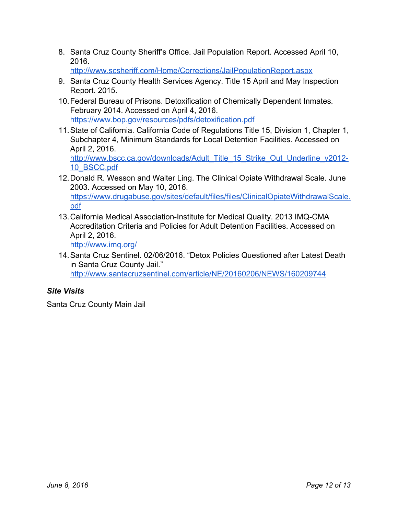8. Santa Cruz County Sheriff's Office. Jail Population Report. Accessed April 10, 2016.

<http://www.scsheriff.com/Home/Corrections/JailPopulationReport.aspx>

- 9. Santa Cruz County Health Services Agency. Title 15 April and May Inspection Report. 2015.
- 10.Federal Bureau of Prisons. Detoxification of Chemically Dependent Inmates*.* February 2014. Accessed on April 4, 2016. <https://www.bop.gov/resources/pdfs/detoxification.pdf>
- 11.State of California. California Code of Regulations Title 15, Division 1, Chapter 1, Subchapter 4, Minimum Standards for Local Detention Facilities. Accessed on April 2, 2016. [http://www.bscc.ca.gov/downloads/Adult\\_Title\\_15\\_Strike\\_Out\\_Underline\\_v2012](http://www.bscc.ca.gov/downloads/Adult_Title_15_Strike_Out_Underline_v2012-10_BSCC.pdf)-[10\\_BSCC.pdf](http://www.bscc.ca.gov/downloads/Adult_Title_15_Strike_Out_Underline_v2012-10_BSCC.pdf)
- 12.Donald R. Wesson and Walter Ling. The Clinical Opiate Withdrawal Scale. June 2003. Accessed on May 10, 2016. [https://www.drugabuse.gov/sites/default/files/files/ClinicalOpiateWithdrawalScale.](https://www.drugabuse.gov/sites/default/files/files/ClinicalOpiateWithdrawalScale.pdf) [pdf](https://www.drugabuse.gov/sites/default/files/files/ClinicalOpiateWithdrawalScale.pdf)
- 13. California Medical Association-Institute for Medical Quality. 2013 IMQ-CMA Accreditation Criteria and Policies for Adult Detention Facilities. Accessed on April 2, 2016.
	- <http://www.imq.org/>
- 14.Santa Cruz Sentinel. 02/06/2016. "Detox Policies Questioned after Latest Death in Santa Cruz County Jail." <http://www.santacruzsentinel.com/article/NE/20160206/NEWS/160209744>

### *Site Visits*

Santa Cruz County Main Jail